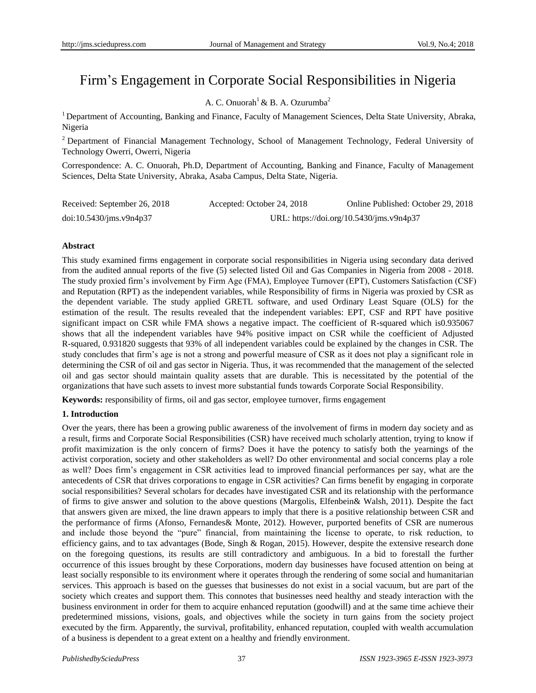# Firm's Engagement in Corporate Social Responsibilities in Nigeria

A. C. Onuorah<sup>1</sup> & B. A. Ozurumba<sup>2</sup>

<sup>1</sup> Department of Accounting, Banking and Finance, Faculty of Management Sciences, Delta State University, Abraka, Nigeria

<sup>2</sup> Department of Financial Management Technology, School of Management Technology, Federal University of Technology Owerri, Owerri, Nigeria

Correspondence: A. C. Onuorah, Ph.D, Department of Accounting, Banking and Finance, Faculty of Management Sciences, Delta State University, Abraka, Asaba Campus, Delta State, Nigeria.

| Received: September 26, 2018 | Accepted: October 24, 2018 | Online Published: October 29, 2018       |
|------------------------------|----------------------------|------------------------------------------|
| doi:10.5430/jms.v9n4p37      |                            | URL: https://doi.org/10.5430/jms.v9n4p37 |

# **Abstract**

This study examined firms engagement in corporate social responsibilities in Nigeria using secondary data derived from the audited annual reports of the five (5) selected listed Oil and Gas Companies in Nigeria from 2008 - 2018. The study proxied firm's involvement by Firm Age (FMA), Employee Turnover (EPT), Customers Satisfaction (CSF) and Reputation (RPT) as the independent variables, while Responsibility of firms in Nigeria was proxied by CSR as the dependent variable. The study applied GRETL software, and used Ordinary Least Square (OLS) for the estimation of the result. The results revealed that the independent variables: EPT, CSF and RPT have positive significant impact on CSR while FMA shows a negative impact. The coefficient of R-squared which is0.935067 shows that all the independent variables have 94% positive impact on CSR while the coefficient of Adjusted R-squared, 0.931820 suggests that 93% of all independent variables could be explained by the changes in CSR. The study concludes that firm's age is not a strong and powerful measure of CSR as it does not play a significant role in determining the CSR of oil and gas sector in Nigeria. Thus, it was recommended that the management of the selected oil and gas sector should maintain quality assets that are durable. This is necessitated by the potential of the organizations that have such assets to invest more substantial funds towards Corporate Social Responsibility.

**Keywords:** responsibility of firms, oil and gas sector, employee turnover, firms engagement

# **1. Introduction**

Over the years, there has been a growing public awareness of the involvement of firms in modern day society and as a result, firms and Corporate Social Responsibilities (CSR) have received much scholarly attention, trying to know if profit maximization is the only concern of firms? Does it have the potency to satisfy both the yearnings of the activist corporation, society and other stakeholders as well? Do other environmental and social concerns play a role as well? Does firm's engagement in CSR activities lead to improved financial performances per say, what are the antecedents of CSR that drives corporations to engage in CSR activities? Can firms benefit by engaging in corporate social responsibilities? Several scholars for decades have investigated CSR and its relationship with the performance of firms to give answer and solution to the above questions (Margolis, Elfenbein& Walsh, 2011). Despite the fact that answers given are mixed, the line drawn appears to imply that there is a positive relationship between CSR and the performance of firms (Afonso, Fernandes& Monte, 2012). However, purported benefits of CSR are numerous and include those beyond the "pure" financial, from maintaining the license to operate, to risk reduction, to efficiency gains, and to tax advantages (Bode, Singh & Rogan, 2015). However, despite the extensive research done on the foregoing questions, its results are still contradictory and ambiguous. In a bid to forestall the further occurrence of this issues brought by these Corporations, modern day businesses have focused attention on being at least socially responsible to its environment where it operates through the rendering of some social and humanitarian services. This approach is based on the guesses that businesses do not exist in a social vacuum, but are part of the society which creates and support them. This connotes that businesses need healthy and steady interaction with the business environment in order for them to acquire enhanced reputation (goodwill) and at the same time achieve their predetermined missions, visions, goals, and objectives while the society in turn gains from the society project executed by the firm. Apparently, the survival, profitability, enhanced reputation, coupled with wealth accumulation of a business is dependent to a great extent on a healthy and friendly environment.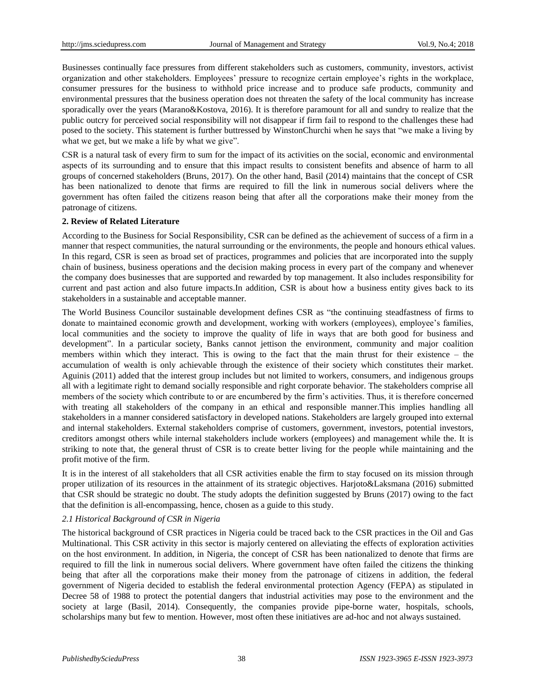Businesses continually face pressures from different stakeholders such as customers, community, investors, activist organization and other stakeholders. Employees' pressure to recognize certain employee's rights in the workplace, consumer pressures for the business to withhold price increase and to produce safe products, community and environmental pressures that the business operation does not threaten the safety of the local community has increase sporadically over the years (Marano&Kostova, 2016). It is therefore paramount for all and sundry to realize that the public outcry for perceived social responsibility will not disappear if firm fail to respond to the challenges these had posed to the society. This statement is further buttressed by WinstonChurchi when he says that "we make a living by what we get, but we make a life by what we give".

CSR is a natural task of every firm to sum for the impact of its activities on the social, economic and environmental aspects of its surrounding and to ensure that this impact results to consistent benefits and absence of harm to all groups of concerned stakeholders (Bruns, 2017). On the other hand, Basil (2014) maintains that the concept of CSR has been nationalized to denote that firms are required to fill the link in numerous social delivers where the government has often failed the citizens reason being that after all the corporations make their money from the patronage of citizens.

## **2. Review of Related Literature**

According to the Business for Social Responsibility, CSR can be defined as the achievement of success of a firm in a manner that respect communities, the natural surrounding or the environments, the people and honours ethical values. In this regard, CSR is seen as broad set of practices, programmes and policies that are incorporated into the supply chain of business, business operations and the decision making process in every part of the company and whenever the company does businesses that are supported and rewarded by top management. It also includes responsibility for current and past action and also future impacts.In addition, CSR is about how a business entity gives back to its stakeholders in a sustainable and acceptable manner.

The World Business Councilor sustainable development defines CSR as "the continuing steadfastness of firms to donate to maintained economic growth and development, working with workers (employees), employee's families, local communities and the society to improve the quality of life in ways that are both good for business and development". In a particular society, Banks cannot jettison the environment, community and major coalition members within which they interact. This is owing to the fact that the main thrust for their existence – the accumulation of wealth is only achievable through the existence of their society which constitutes their market. Aguinis (2011) added that the interest group includes but not limited to workers, consumers, and indigenous groups all with a legitimate right to demand socially responsible and right corporate behavior. The stakeholders comprise all members of the society which contribute to or are encumbered by the firm's activities. Thus, it is therefore concerned with treating all stakeholders of the company in an ethical and responsible manner.This implies handling all stakeholders in a manner considered satisfactory in developed nations. Stakeholders are largely grouped into external and internal stakeholders. External stakeholders comprise of customers, government, investors, potential investors, creditors amongst others while internal stakeholders include workers (employees) and management while the. It is striking to note that, the general thrust of CSR is to create better living for the people while maintaining and the profit motive of the firm.

It is in the interest of all stakeholders that all CSR activities enable the firm to stay focused on its mission through proper utilization of its resources in the attainment of its strategic objectives. Harjoto&Laksmana (2016) submitted that CSR should be strategic no doubt. The study adopts the definition suggested by Bruns (2017) owing to the fact that the definition is all-encompassing, hence, chosen as a guide to this study.

#### *2.1 Historical Background of CSR in Nigeria*

The historical background of CSR practices in Nigeria could be traced back to the CSR practices in the Oil and Gas Multinational. This CSR activity in this sector is majorly centered on alleviating the effects of exploration activities on the host environment. In addition, in Nigeria, the concept of CSR has been nationalized to denote that firms are required to fill the link in numerous social delivers. Where government have often failed the citizens the thinking being that after all the corporations make their money from the patronage of citizens in addition, the federal government of Nigeria decided to establish the federal environmental protection Agency (FEPA) as stipulated in Decree 58 of 1988 to protect the potential dangers that industrial activities may pose to the environment and the society at large (Basil, 2014). Consequently, the companies provide pipe-borne water, hospitals, schools, scholarships many but few to mention. However, most often these initiatives are ad-hoc and not always sustained.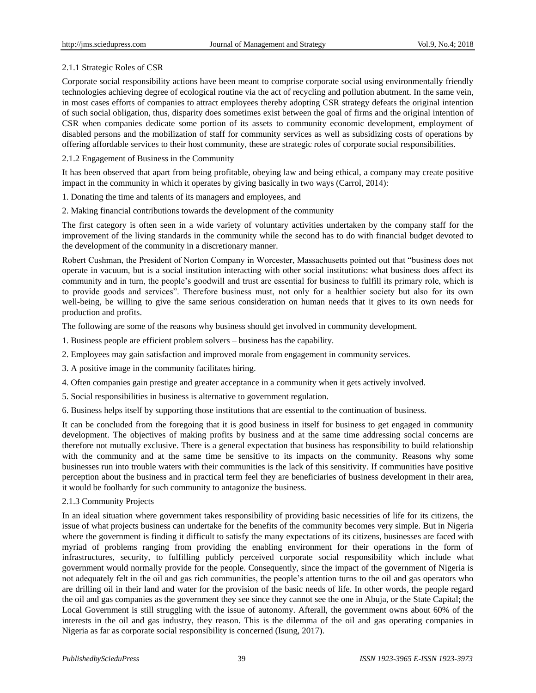# 2.1.1 Strategic Roles of CSR

Corporate social responsibility actions have been meant to comprise corporate social using environmentally friendly technologies achieving degree of ecological routine via the act of recycling and pollution abutment. In the same vein, in most cases efforts of companies to attract employees thereby adopting CSR strategy defeats the original intention of such social obligation, thus, disparity does sometimes exist between the goal of firms and the original intention of CSR when companies dedicate some portion of its assets to community economic development, employment of disabled persons and the mobilization of staff for community services as well as subsidizing costs of operations by offering affordable services to their host community, these are strategic roles of corporate social responsibilities.

2.1.2 Engagement of Business in the Community

It has been observed that apart from being profitable, obeying law and being ethical, a company may create positive impact in the community in which it operates by giving basically in two ways (Carrol, 2014):

- 1. Donating the time and talents of its managers and employees, and
- 2. Making financial contributions towards the development of the community

The first category is often seen in a wide variety of voluntary activities undertaken by the company staff for the improvement of the living standards in the community while the second has to do with financial budget devoted to the development of the community in a discretionary manner.

Robert Cushman, the President of Norton Company in Worcester, Massachusetts pointed out that "business does not operate in vacuum, but is a social institution interacting with other social institutions: what business does affect its community and in turn, the people's goodwill and trust are essential for business to fulfill its primary role, which is to provide goods and services". Therefore business must, not only for a healthier society but also for its own well-being, be willing to give the same serious consideration on human needs that it gives to its own needs for production and profits.

The following are some of the reasons why business should get involved in community development.

- 1. Business people are efficient problem solvers business has the capability.
- 2. Employees may gain satisfaction and improved morale from engagement in community services.
- 3. A positive image in the community facilitates hiring.
- 4. Often companies gain prestige and greater acceptance in a community when it gets actively involved.
- 5. Social responsibilities in business is alternative to government regulation.
- 6. Business helps itself by supporting those institutions that are essential to the continuation of business.

It can be concluded from the foregoing that it is good business in itself for business to get engaged in community development. The objectives of making profits by business and at the same time addressing social concerns are therefore not mutually exclusive. There is a general expectation that business has responsibility to build relationship with the community and at the same time be sensitive to its impacts on the community. Reasons why some businesses run into trouble waters with their communities is the lack of this sensitivity. If communities have positive perception about the business and in practical term feel they are beneficiaries of business development in their area, it would be foolhardy for such community to antagonize the business.

# 2.1.3 Community Projects

In an ideal situation where government takes responsibility of providing basic necessities of life for its citizens, the issue of what projects business can undertake for the benefits of the community becomes very simple. But in Nigeria where the government is finding it difficult to satisfy the many expectations of its citizens, businesses are faced with myriad of problems ranging from providing the enabling environment for their operations in the form of infrastructures, security, to fulfilling publicly perceived corporate social responsibility which include what government would normally provide for the people. Consequently, since the impact of the government of Nigeria is not adequately felt in the oil and gas rich communities, the people's attention turns to the oil and gas operators who are drilling oil in their land and water for the provision of the basic needs of life. In other words, the people regard the oil and gas companies as the government they see since they cannot see the one in Abuja, or the State Capital; the Local Government is still struggling with the issue of autonomy. Afterall, the government owns about 60% of the interests in the oil and gas industry, they reason. This is the dilemma of the oil and gas operating companies in Nigeria as far as corporate social responsibility is concerned (Isung, 2017).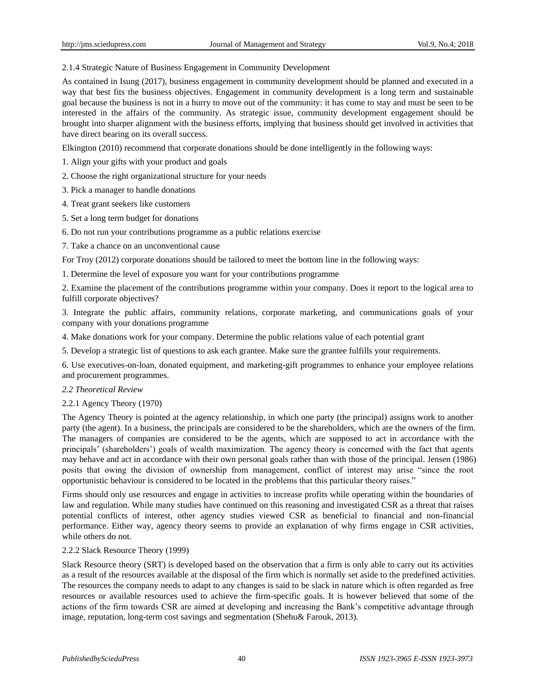## 2.1.4 Strategic Nature of Business Engagement in Community Development

As contained in Isung (2017), business engagement in community development should be planned and executed in a way that best fits the business objectives. Engagement in community development is a long term and sustainable goal because the business is not in a hurry to move out of the community: it has come to stay and must be seen to be interested in the affairs of the community. As strategic issue, community development engagement should be brought into sharper alignment with the business efforts, implying that business should get involved in activities that have direct bearing on its overall success.

Elkington (2010) recommend that corporate donations should be done intelligently in the following ways:

- 1. Align your gifts with your product and goals
- 2. Choose the right organizational structure for your needs
- 3. Pick a manager to handle donations
- 4. Treat grant seekers like customers
- 5. Set a long term budget for donations
- 6. Do not run your contributions programme as a public relations exercise
- 7. Take a chance on an unconventional cause

For Troy (2012) corporate donations should be tailored to meet the bottom line in the following ways:

1. Determine the level of exposure you want for your contributions programme

2. Examine the placement of the contributions programme within your company. Does it report to the logical area to fulfill corporate objectives?

3. Integrate the public affairs, community relations, corporate marketing, and communications goals of your company with your donations programme

4. Make donations work for your company. Determine the public relations value of each potential grant

5. Develop a strategic list of questions to ask each grantee. Make sure the grantee fulfills your requirements.

6. Use executives-on-loan, donated equipment, and marketing-gift programmes to enhance your employee relations and procurement programmes.

#### *2.2 Theoretical Review*

# 2.2.1 Agency Theory (1970)

The Agency Theory is pointed at the agency relationship, in which one party (the principal) assigns work to another party (the agent). In a business, the principals are considered to be the shareholders, which are the owners of the firm. The managers of companies are considered to be the agents, which are supposed to act in accordance with the principals' (shareholders') goals of wealth maximization. The agency theory is concerned with the fact that agents may behave and act in accordance with their own personal goals rather than with those of the principal. Jensen (1986) posits that owing the division of ownership from management, conflict of interest may arise "since the root opportunistic behaviour is considered to be located in the problems that this particular theory raises."

Firms should only use resources and engage in activities to increase profits while operating within the boundaries of law and regulation. While many studies have continued on this reasoning and investigated CSR as a threat that raises potential conflicts of interest, other agency studies viewed CSR as beneficial to financial and non-financial performance. Either way, agency theory seems to provide an explanation of why firms engage in CSR activities, while others do not.

#### 2.2.2 Slack Resource Theory (1999)

Slack Resource theory (SRT) is developed based on the observation that a firm is only able to carry out its activities as a result of the resources available at the disposal of the firm which is normally set aside to the predefined activities. The resources the company needs to adapt to any changes is said to be slack in nature which is often regarded as free resources or available resources used to achieve the firm-specific goals. It is however believed that some of the actions of the firm towards CSR are aimed at developing and increasing the Bank's competitive advantage through image, reputation, long-term cost savings and segmentation (Shehu& Farouk, 2013).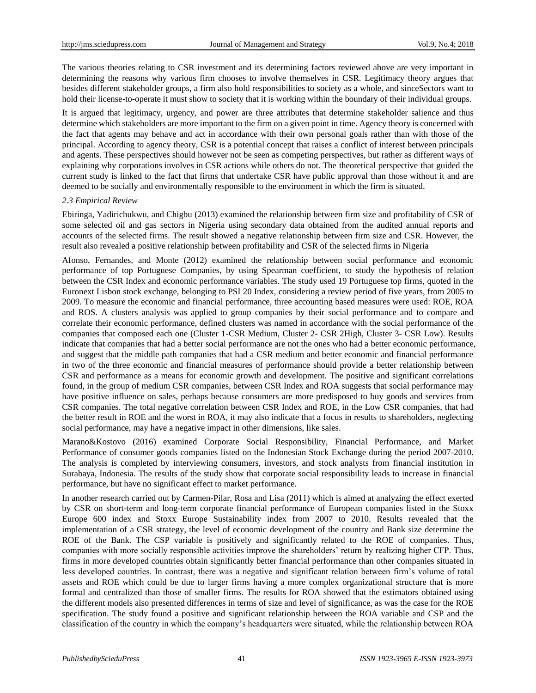The various theories relating to CSR investment and its determining factors reviewed above are very important in determining the reasons why various firm chooses to involve themselves in CSR. Legitimacy theory argues that besides different stakeholder groups, a firm also hold responsibilities to society as a whole, and sinceSectors want to hold their license-to-operate it must show to society that it is working within the boundary of their individual groups.

It is argued that legitimacy, urgency, and power are three attributes that determine stakeholder salience and thus determine which stakeholders are more important to the firm on a given point in time. Agency theory is concerned with the fact that agents may behave and act in accordance with their own personal goals rather than with those of the principal. According to agency theory, CSR is a potential concept that raises a conflict of interest between principals and agents. These perspectives should however not be seen as competing perspectives, but rather as different ways of explaining why corporations involves in CSR actions while others do not. The theoretical perspective that guided the current study is linked to the fact that firms that undertake CSR have public approval than those without it and are deemed to be socially and environmentally responsible to the environment in which the firm is situated.

#### *2.3 Empirical Review*

Ebiringa, Yadirichukwu, and Chigbu (2013) examined the relationship between firm size and profitability of CSR of some selected oil and gas sectors in Nigeria using secondary data obtained from the audited annual reports and accounts of the selected firms. The result showed a negative relationship between firm size and CSR. However, the result also revealed a positive relationship between profitability and CSR of the selected firms in Nigeria

Afonso, Fernandes, and Monte (2012) examined the relationship between social performance and economic performance of top Portuguese Companies, by using Spearman coefficient, to study the hypothesis of relation between the CSR Index and economic performance variables. The study used 19 Portuguese top firms, quoted in the Euronext Lisbon stock exchange, belonging to PSI 20 Index, considering a review period of five years, from 2005 to 2009. To measure the economic and financial performance, three accounting based measures were used: ROE, ROA and ROS. A clusters analysis was applied to group companies by their social performance and to compare and correlate their economic performance, defined clusters was named in accordance with the social performance of the companies that composed each one (Cluster 1-CSR Medium, Cluster 2- CSR 2High, Cluster 3- CSR Low). Results indicate that companies that had a better social performance are not the ones who had a better economic performance, and suggest that the middle path companies that had a CSR medium and better economic and financial performance in two of the three economic and financial measures of performance should provide a better relationship between CSR and performance as a means for economic growth and development. The positive and significant correlations found, in the group of medium CSR companies, between CSR Index and ROA suggests that social performance may have positive influence on sales, perhaps because consumers are more predisposed to buy goods and services from CSR companies. The total negative correlation between CSR Index and ROE, in the Low CSR companies, that had the better result in ROE and the worst in ROA, it may also indicate that a focus in results to shareholders, neglecting social performance, may have a negative impact in other dimensions, like sales.

Marano&Kostovo (2016) examined Corporate Social Responsibility, Financial Performance, and Market Performance of consumer goods companies listed on the Indonesian Stock Exchange during the period 2007-2010. The analysis is completed by interviewing consumers, investors, and stock analysts from financial institution in Surabaya, Indonesia. The results of the study show that corporate social responsibility leads to increase in financial performance, but have no significant effect to market performance.

In another research carried out by Carmen-Pilar, Rosa and Lisa (2011) which is aimed at analyzing the effect exerted by CSR on short-term and long-term corporate financial performance of European companies listed in the Stoxx Europe 600 index and Stoxx Europe Sustainability index from 2007 to 2010. Results revealed that the implementation of a CSR strategy, the level of economic development of the country and Bank size determine the ROE of the Bank. The CSP variable is positively and significantly related to the ROE of companies. Thus, companies with more socially responsible activities improve the shareholders' return by realizing higher CFP. Thus, firms in more developed countries obtain significantly better financial performance than other companies situated in less developed countries. In contrast, there was a negative and significant relation between firm's volume of total assets and ROE which could be due to larger firms having a more complex organizational structure that is more formal and centralized than those of smaller firms. The results for ROA showed that the estimators obtained using the different models also presented differences in terms of size and level of significance, as was the case for the ROE specification. The study found a positive and significant relationship between the ROA variable and CSP and the classification of the country in which the company's headquarters were situated, while the relationship between ROA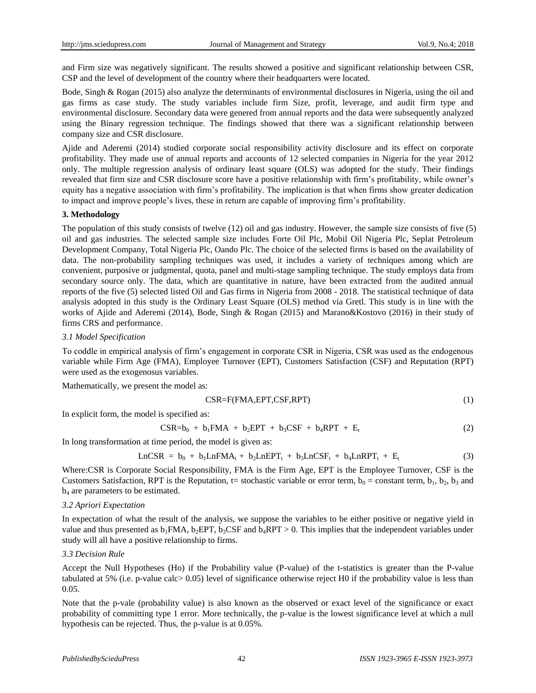and Firm size was negatively significant. The results showed a positive and significant relationship between CSR, CSP and the level of development of the country where their headquarters were located.

Bode, Singh & Rogan (2015) also analyze the determinants of environmental disclosures in Nigeria, using the oil and gas firms as case study. The study variables include firm Size, profit, leverage, and audit firm type and environmental disclosure. Secondary data were genered from annual reports and the data were subsequently analyzed using the Binary regression technique. The findings showed that there was a significant relationship between company size and CSR disclosure.

Ajide and Aderemi (2014) studied corporate social responsibility activity disclosure and its effect on corporate profitability. They made use of annual reports and accounts of 12 selected companies in Nigeria for the year 2012 only. The multiple regression analysis of ordinary least square (OLS) was adopted for the study. Their findings revealed that firm size and CSR disclosure score have a positive relationship with firm's profitability, while owner's equity has a negative association with firm's profitability. The implication is that when firms show greater dedication to impact and improve people's lives, these in return are capable of improving firm's profitability.

#### **3. Methodology**

The population of this study consists of twelve (12) oil and gas industry. However, the sample size consists of five (5) oil and gas industries. The selected sample size includes Forte Oil Plc, Mobil Oil Nigeria Plc, Seplat Petroleum Development Company, Total Nigeria Plc, Oando Plc. The choice of the selected firms is based on the availability of data. The non-probability sampling techniques was used, it includes a variety of techniques among which are convenient, purposive or judgmental, quota, panel and multi-stage sampling technique. The study employs data from secondary source only. The data, which are quantitative in nature, have been extracted from the audited annual reports of the five (5) selected listed Oil and Gas firms in Nigeria from 2008 - 2018. The statistical technique of data analysis adopted in this study is the Ordinary Least Square (OLS) method via Gretl. This study is in line with the works of Ajide and Aderemi (2014), Bode, Singh & Rogan (2015) and Marano&Kostovo (2016) in their study of firms CRS and performance.

## *3.1 Model Specification*

To coddle in empirical analysis of firm's engagement in corporate CSR in Nigeria, CSR was used as the endogenous variable while Firm Age (FMA), Employee Turnover (EPT), Customers Satisfaction (CSF) and Reputation (RPT) were used as the exogenosus variables.

Mathematically, we present the model as:

$$
CSR = F(FMA, EPT, CSF, RPT)
$$
 (1)

In explicit form, the model is specified as:

$$
CSR=b_0 + b_1FMA + b_2EPT + b_3CSF + b_4RPT + E_t
$$
\n(2)

In long transformation at time period, the model is given as:

$$
LnCSR = b_0 + b_1LnFMA_t + b_2LnEPT_t + b_3LnCSF_t + b_4LnRPT_t + E_t
$$
 (3)

Where:CSR is Corporate Social Responsibility, FMA is the Firm Age, EPT is the Employee Turnover, CSF is the Customers Satisfaction, RPT is the Reputation, t= stochastic variable or error term,  $b_0$  = constant term,  $b_1$ ,  $b_2$ ,  $b_3$  and  $b_4$  are parameters to be estimated.

#### *3.2 Apriori Expectation*

In expectation of what the result of the analysis, we suppose the variables to be either positive or negative yield in value and thus presented as  $b_1FMA$ ,  $b_2EPT$ ,  $b_3CSF$  and  $b_4RPT > 0$ . This implies that the independent variables under study will all have a positive relationship to firms.

#### *3.3 Decision Rule*

Accept the Null Hypotheses (Ho) if the Probability value (P-value) of the t-statistics is greater than the P-value tabulated at 5% (i.e. p-value calc> 0.05) level of significance otherwise reject H0 if the probability value is less than 0.05.

Note that the p-vale (probability value) is also known as the observed or exact level of the significance or exact probability of committing type 1 error. More technically, the p-value is the lowest significance level at which a null hypothesis can be rejected. Thus, the p-value is at 0.05%.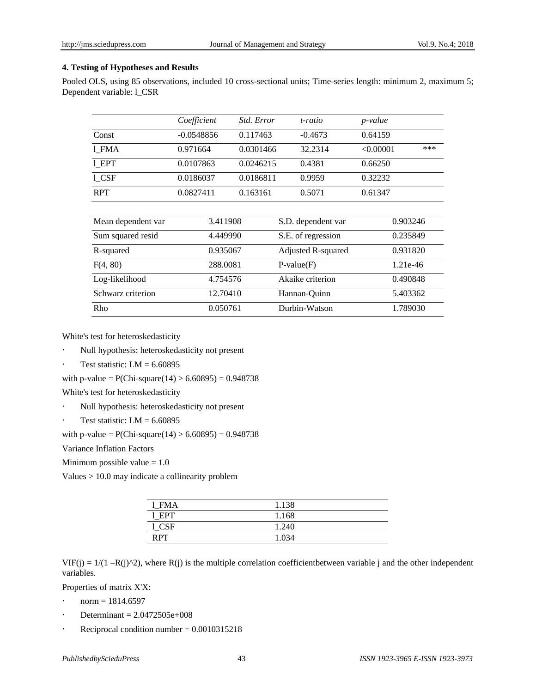# **4. Testing of Hypotheses and Results**

Pooled OLS, using 85 observations, included 10 cross-sectional units; Time-series length: minimum 2, maximum 5; Dependent variable: l\_CSR

|                    | Coefficient  | <i>Std. Error</i> | t-ratio            | <i>p</i> -value |          |
|--------------------|--------------|-------------------|--------------------|-----------------|----------|
| Const              | $-0.0548856$ | 0.117463          | $-0.4673$          | 0.64159         |          |
| 1 FMA              | 0.971664     | 0.0301466         | 32.2314            | < 0.00001       | ***      |
| 1 EPT              | 0.0107863    | 0.0246215         | 0.4381             | 0.66250         |          |
| 1 CSF              | 0.0186037    | 0.0186811         | 0.9959             | 0.32232         |          |
| <b>RPT</b>         | 0.0827411    | 0.163161          | 0.5071             | 0.61347         |          |
|                    |              |                   |                    |                 |          |
| Mean dependent var | 3.411908     |                   | S.D. dependent var |                 | 0.903246 |
| Sum squared resid  | 4.449990     |                   | S.E. of regression |                 | 0.235849 |
| R-squared          | 0.935067     |                   | Adjusted R-squared |                 | 0.931820 |
| F(4, 80)           | 288.0081     |                   | $P-value(F)$       |                 | 1.21e-46 |
| Log-likelihood     | 4.754576     |                   | Akaike criterion   |                 | 0.490848 |
| Schwarz criterion  | 12.70410     |                   | Hannan-Quinn       |                 | 5.403362 |
| Rho                | 0.050761     |                   | Durbin-Watson      |                 | 1.789030 |

White's test for heteroskedasticity

- Null hypothesis: heteroskedasticity not present
- Test statistic:  $LM = 6.60895$

with p-value = P(Chi-square( $14$ ) > 6.60895) = 0.948738

White's test for heteroskedasticity

- Null hypothesis: heteroskedasticity not present
- Test statistic:  $LM = 6.60895$

with p-value =  $P(Chi-square(14) > 6.60895) = 0.948738$ 

Variance Inflation Factors

Minimum possible value  $= 1.0$ 

Values > 10.0 may indicate a collinearity problem

| 1 FMA              | 1.138 |
|--------------------|-------|
| 1 EPT              | 1.168 |
| $1$ <sub>CSF</sub> | 1.240 |
| <b>RPT</b>         | 1.034 |

 $VIF(j) = 1/(1 - R(j)^{2})$ , where R(j) is the multiple correlation coefficient between variable j and the other independent variables.

Properties of matrix X'X:

- norm =  $1814.6597$
- Determinant = 2.0472505e+008
- Reciprocal condition number = 0.0010315218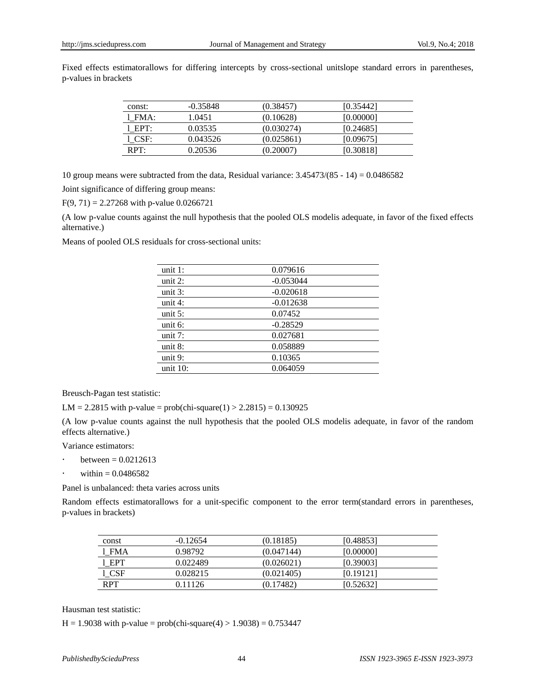Fixed effects estimatorallows for differing intercepts by cross-sectional unitslope standard errors in parentheses, p-values in brackets

| const:             | $-0.35848$ | (0.38457)  | [0.35442] |
|--------------------|------------|------------|-----------|
| 1 FMA:             | 1.0451     | (0.10628)  | [0.00000] |
| 1 EPT:             | 0.03535    | (0.030274) | 10.246851 |
| $\frac{1}{2}$ CSF: | 0.043526   | (0.025861) | [0.09675] |
| RPT:               | 0.20536    | (0.20007)  | [0.30818] |

10 group means were subtracted from the data, Residual variance: 3.45473/(85 - 14) = 0.0486582

Joint significance of differing group means:

 $F(9, 71) = 2.27268$  with p-value 0.0266721

(A low p-value counts against the null hypothesis that the pooled OLS modelis adequate, in favor of the fixed effects alternative.)

Means of pooled OLS residuals for cross-sectional units:

| 0.079616    |
|-------------|
| $-0.053044$ |
| $-0.020618$ |
| $-0.012638$ |
| 0.07452     |
| $-0.28529$  |
| 0.027681    |
| 0.058889    |
| 0.10365     |
| 0.064059    |
|             |

Breusch-Pagan test statistic:

LM = 2.2815 with p-value = prob(chi-square(1) > 2.2815) = 0.130925

(A low p-value counts against the null hypothesis that the pooled OLS modelis adequate, in favor of the random effects alternative.)

Variance estimators:

- $\cdot$  between = 0.0212613
- within  $= 0.0486582$

Panel is unbalanced: theta varies across units

Random effects estimatorallows for a unit-specific component to the error term(standard errors in parentheses, p-values in brackets)

| const      | $-0.12654$ | (0.18185)  | [0.48853] |  |
|------------|------------|------------|-----------|--|
| . FMA      | 0.98792    | (0.047144) | [0.00000] |  |
| EPT        | 0.022489   | (0.026021) | [0.39003] |  |
| LCSF       | 0.028215   | (0.021405) | [0.19121] |  |
| <b>RPT</b> | 0.11126    | (0.17482)  | [0.52632] |  |

Hausman test statistic:

 $H = 1.9038$  with p-value = prob(chi-square(4) > 1.9038) = 0.753447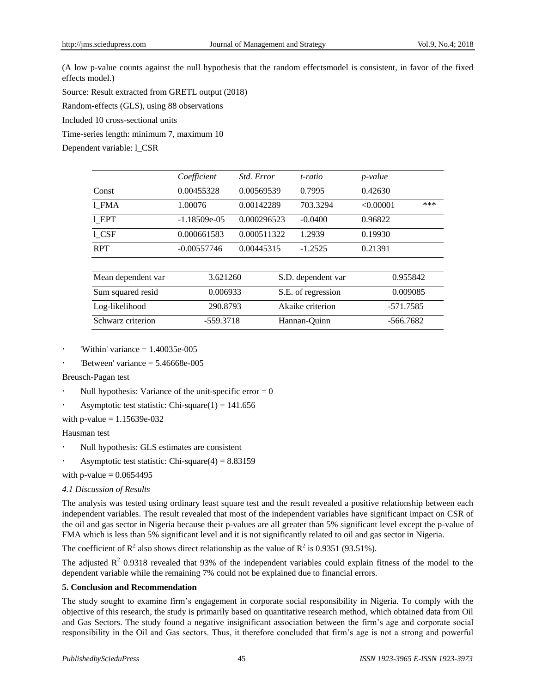(A low p-value counts against the null hypothesis that the random effectsmodel is consistent, in favor of the fixed effects model.)

Source: Result extracted from GRETL output (2018)

Random-effects (GLS), using 88 observations

Included 10 cross-sectional units

Time-series length: minimum 7, maximum 10

Dependent variable: l\_CSR

|                    | Coefficient    | <i>Std. Error</i> | t-ratio   | p-value   |     |
|--------------------|----------------|-------------------|-----------|-----------|-----|
| Const              | 0.00455328     | 0.00569539        | 0.7995    | 0.42630   |     |
| 1 FMA              | 1.00076        | 0.00142289        | 703.3294  | < 0.00001 | *** |
| 1 EPT              | $-1.18509e-05$ | 0.000296523       | $-0.0400$ | 0.96822   |     |
| $1$ <sub>CSF</sub> | 0.000661583    | 0.000511322       | 1.2939    | 0.19930   |     |
| <b>RPT</b>         | $-0.00557746$  | 0.00445315        | $-1.2525$ | 0.21391   |     |
|                    |                |                   |           |           |     |

| Mean dependent var | 3.621260    | S.D. dependent var | 0.955842  |
|--------------------|-------------|--------------------|-----------|
| Sum squared resid  | 0.006933    | S.E. of regression | 0.009085  |
| Log-likelihood     | 290.8793    | Akaike criterion   | -571.7585 |
| Schwarz criterion  | $-559.3718$ | Hannan-Ouinn       | -566.7682 |

'Within' variance  $= 1.40035e-005$ 

'Between' variance  $= 5.46668$ e-005

Breusch-Pagan test

- Null hypothesis: Variance of the unit-specific error  $= 0$
- Asymptotic test statistic: Chi-square $(1) = 141.656$

with p-value  $= 1.15639e-032$ 

Hausman test

- Null hypothesis: GLS estimates are consistent
- Asymptotic test statistic: Chi-square $(4) = 8.83159$

with p-value  $= 0.0654495$ 

# *4.1 Discussion of Results*

The analysis was tested using ordinary least square test and the result revealed a positive relationship between each independent variables. The result revealed that most of the independent variables have significant impact on CSR of the oil and gas sector in Nigeria because their p-values are all greater than 5% significant level except the p-value of FMA which is less than 5% significant level and it is not significantly related to oil and gas sector in Nigeria.

The coefficient of  $\mathbb{R}^2$  also shows direct relationship as the value of  $\mathbb{R}^2$  is 0.9351 (93.51%).

The adjusted  $\mathbb{R}^2$  0.9318 revealed that 93% of the independent variables could explain fitness of the model to the dependent variable while the remaining 7% could not be explained due to financial errors.

# **5. Conclusion and Recommendation**

The study sought to examine firm's engagement in corporate social responsibility in Nigeria. To comply with the objective of this research, the study is primarily based on quantitative research method, which obtained data from Oil and Gas Sectors. The study found a negative insignificant association between the firm's age and corporate social responsibility in the Oil and Gas sectors. Thus, it therefore concluded that firm's age is not a strong and powerful